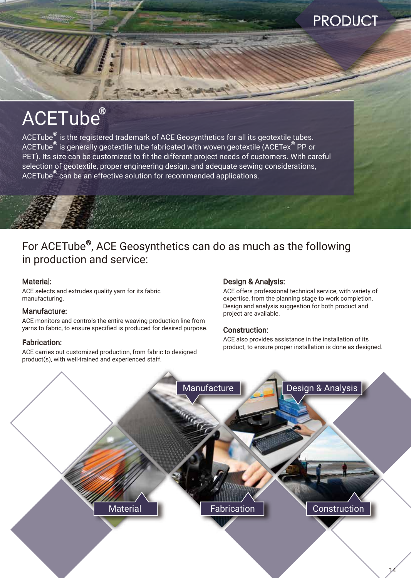## PRODUCT

# ACETube®

 $ACETube<sup>®</sup>$  is the registered trademark of ACE Geosynthetics for all its geotextile tubes. ACETube $^{\circledR}$  is generally geotextile tube fabricated with woven geotextile (ACETex $^{\circledR}$  PP or PET). Its size can be customized to fit the different project needs of customers. With careful selection of geotextile, proper engineering design, and adequate sewing considerations, ACETube<sup>®</sup> can be an effective solution for recommended applications.

### For ACETube®, ACE Geosynthetics can do as much as the following in production and service:

### Material:

ACE selects and extrudes quality yarn for its fabric manufacturing.

### Manufacture:

ACE monitors and controls the entire weaving production line from yarns to fabric, to ensure specified is produced for desired purpose.

### Fabrication:

ACE carries out customized production, from fabric to designed product(s), with well-trained and experienced staff.

### Design & Analysis:

ACE offers professional technical service, with variety of expertise, from the planning stage to work completion. Design and analysis suggestion for both product and project are available.

### Construction:

ACE also provides assistance in the installation of its product, to ensure proper installation is done as designed.

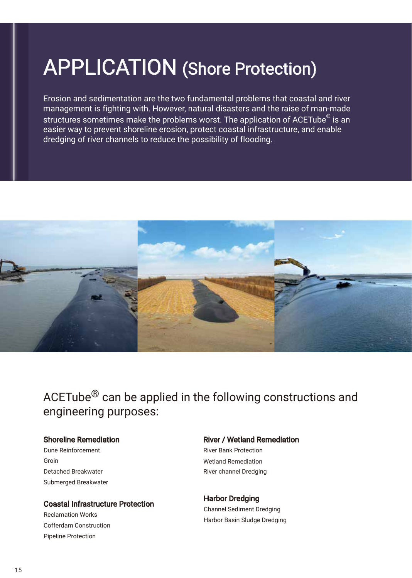# APPLICATION (Shore Protection)

Erosion and sedimentation are the two fundamental problems that coastal and river management is fighting with. However, natural disasters and the raise of man-made structures sometimes make the problems worst. The application of ACETube $^\circ$  is an easier way to prevent shoreline erosion, protect coastal infrastructure, and enable dredging of river channels to reduce the possibility of flooding.



ACETube® can be applied in the following constructions and engineering purposes:

### Shoreline Remediation

Submerged Breakwater Detached Breakwater Groin Dune Reinforcement

### Coastal Infrastructure Protection

Pipeline Protection Cofferdam Construction Reclamation Works

### River / Wetland Remediation

River channel Dredging Wetland Remediation River Bank Protection

### Harbor Dredging Channel Sediment Dredging

Harbor Basin Sludge Dredging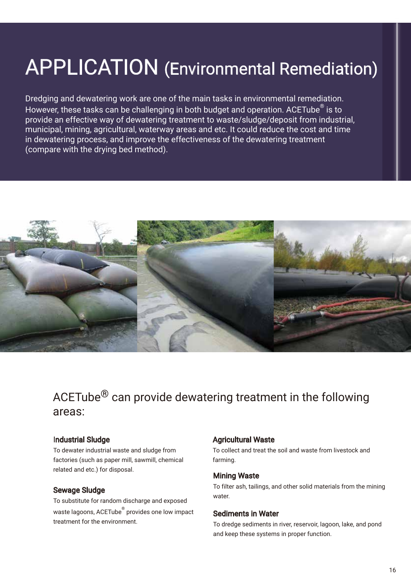# APPLICATION (Environmental Remediation)

Dredging and dewatering work are one of the main tasks in environmental remediation. However, these tasks can be challenging in both budget and operation. ACETube $^\circledast$  is to provide an effective way of dewatering treatment to waste/sludge/deposit from industrial, municipal, mining, agricultural, waterway areas and etc. It could reduce the cost and time in dewatering process, and improve the effectiveness of the dewatering treatment (compare with the drying bed method).



## ACETube® can provide dewatering treatment in the following areas:

### Industrial Sludge

To dewater industrial waste and sludge from factories (such as paper mill, sawmill, chemical related and etc.) for disposal.

#### Sewage Sludge

To substitute for random discharge and exposed waste lagoons, ACETube® provides one low impact treatment for the environment.

#### Agricultural Waste

To collect and treat the soil and waste from livestock and farming.

#### Mining Waste

To filter ash, tailings, and other solid materials from the mining water.

#### Sediments in Water

To dredge sediments in river, reservoir, lagoon, lake, and pond and keep these systems in proper function.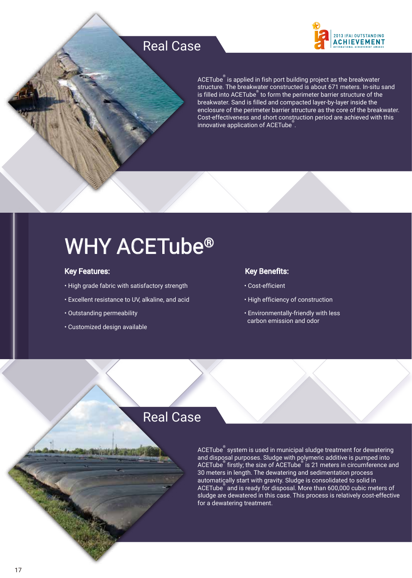## Real Case



ACETube® is applied in fish port building project as the breakwater structure. The breakwater constructed is about 671 meters. In-situ sand is filled into ACETube $\degree$  to form the perimeter barrier structure of the breakwater. Sand is filled and compacted layer-by-layer inside the enclosure of the perimeter barrier structure as the core of the breakwater. Cost-effectiveness and short construction period are achieved with this innovative application of ACETube® .

# WHY ACETube®

### Key Features:

- High grade fabric with satisfactory strength
- Excellent resistance to UV, alkaline, and acid
- Outstanding permeability
- Customized design available

### Key Benefits:

- Cost-efficient
- High efficiency of construction
- Environmentally-friendly with less carbon emission and odor

### Real Case

<code>ACETube $\mathring{\,}$ system</code> is used in municipal sludge treatment for dewatering and disposal purposes. Sludge with polymeric additive is pumped into ACETube® firstly; the size of ACETube® is 21 meters in circumference and 30 meters in length. The dewatering and sedimentation process automatically start with gravity. Sludge is consolidated to solid in ACETube® and is ready for disposal. More than 600,000 cubic meters of sludge are dewatered in this case. This process is relatively cost-effective for a dewatering treatment.